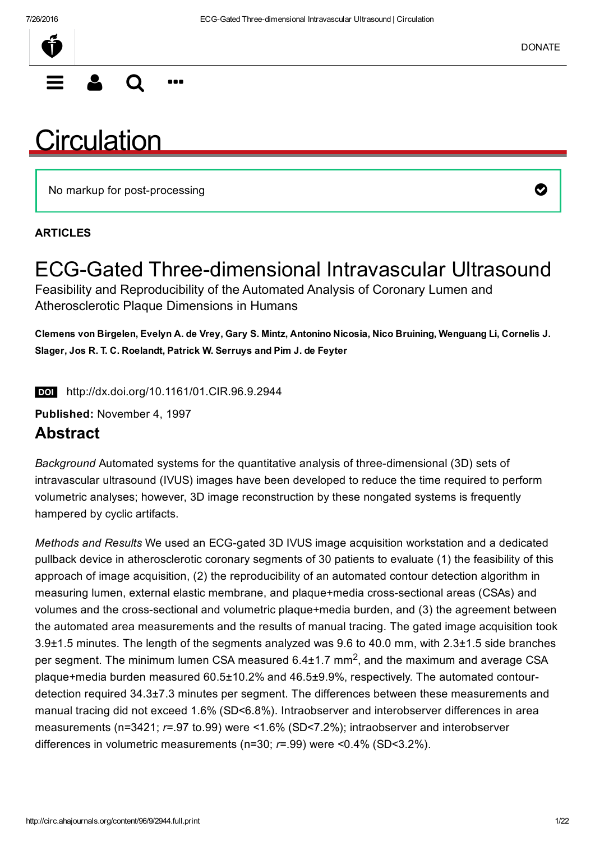$\equiv$  2 Q  $\cdots$ 

# **[Circulation](http://circ.ahajournals.org/)**

No markup for post-processing  $\bullet$ 

#### ARTICLES

### ECG-Gated Three-dimensional Intravascular Ultrasound Feasibility and Reproducibility of the Automated Analysis of Coronary Lumen and Atherosclerotic Plaque Dimensions in Humans

Clemens von Birgelen, Evelyn A. de Vrey, Gary S. Mintz, Antonino Nicosia, Nico Bruining, Wenguang Li, Cornelis J. Slager, Jos R. T. C. Roelandt, Patrick W. Serruys and Pim J. de Feyter

http://dx.doi.org/10.1161/01.CIR.96.9.2944

Published: November 4, 1997

### Abstract

*Background* Automated systems for the quantitative analysis of three-dimensional (3D) sets of intravascular ultrasound (IVUS) images have been developed to reduce the time required to perform volumetric analyses; however, 3D image reconstruction by these nongated systems is frequently hampered by cyclic artifacts.

*Methods and Results* We used an ECG-gated 3D IVUS image acquisition workstation and a dedicated pullback device in atherosclerotic coronary segments of 30 patients to evaluate (1) the feasibility of this approach of image acquisition, (2) the reproducibility of an automated contour detection algorithm in measuring lumen, external elastic membrane, and plaque+media cross-sectional areas (CSAs) and volumes and the cross-sectional and volumetric plaque+media burden, and (3) the agreement between the automated area measurements and the results of manual tracing. The gated image acquisition took 3.9±1.5 minutes. The length of the segments analyzed was 9.6 to 40.0 mm, with 2.3±1.5 side branches per segment. The minimum lumen CSA measured  $6.4\pm1.7$  mm<sup>2</sup>, and the maximum and average CSA plaque+media burden measured 60.5±10.2% and 46.5±9.9%, respectively. The automated contourdetection required 34.3±7.3 minutes per segment. The differences between these measurements and manual tracing did not exceed 1.6% (SD<6.8%). Intraobserver and interobserver differences in area measurements (n=3421; *r*=.97 to.99) were <1.6% (SD<7.2%); intraobserver and interobserver differences in volumetric measurements (n=30; *r*=.99) were <0.4% (SD<3.2%).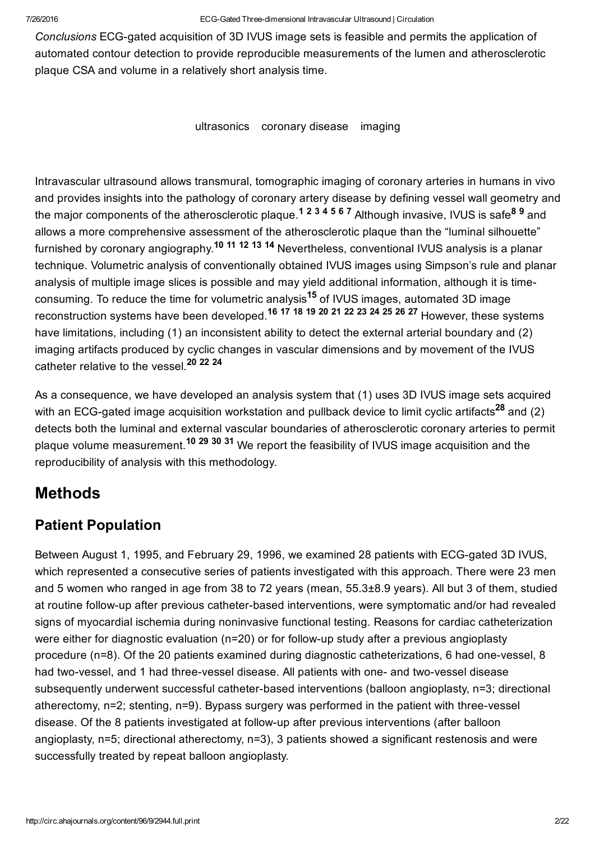Conclusions ECG-gated acquisition of 3D IVUS image sets is feasible and permits the application of automated contour detection to provide reproducible measurements of the lumen and atherosclerotic plaque CSA and volume in a relatively short analysis time.

ultrasonics coronary disease imaging

Intravascular ultrasound allows transmural, tomographic imaging of coronary arteries in humans in vivo and provides insights into the pathology of coronary artery disease by defining vessel wall geometry and the major components of the atherosclerotic plaque.<sup>1234567</sup> Although invasive, IVUS is safe<sup>89</sup> and allows a more comprehensive assessment of the atherosclerotic plaque than the "luminal silhouette" furnished by coronary angiography.<sup>10 11 12 13 14</sup> Nevertheless, conventional IVUS analysis is a planar technique. Volumetric analysis of conventionally obtained IVUS images using Simpson's rule and planar analysis of multiple image slices is possible and may yield additional information, although it is timeconsuming. To reduce the time for volumetric analysis<sup>15</sup> of IVUS images, automated 3D image reconstruction systems have been developed.<sup>16</sup> <sup>17</sup> <sup>18</sup> <sup>19</sup> 20 <sup>21</sup> <sup>22</sup> <sup>23</sup> <sup>24</sup> 2<sup>5</sup> <sup>26</sup> 27 However, these systems have limitations, including (1) an inconsistent ability to detect the external arterial boundary and (2) imaging artifacts produced by cyclic changes in vascular dimensions and by movement of the IVUS catheter relative to the vessel.<sup>20</sup> <sup>22</sup> <sup>24</sup>

As a consequence, we have developed an analysis system that (1) uses 3D IVUS image sets acquired with an ECG-gated image acquisition workstation and pullback device to limit cyclic artifacts<sup>28</sup> and (2) detects both the luminal and external vascular boundaries of atherosclerotic coronary arteries to permit plaque volume measurement.<sup>10</sup> <sup>29</sup> <sup>30</sup> <sup>31</sup> We report the feasibility of IVUS image acquisition and the reproducibility of analysis with this methodology.

## Methods

### Patient Population

Between August 1, 1995, and February 29, 1996, we examined 28 patients with ECG-gated 3D IVUS, which represented a consecutive series of patients investigated with this approach. There were 23 men and 5 women who ranged in age from 38 to 72 years (mean, 55.3±8.9 years). All but 3 of them, studied at routine follow-up after previous catheter-based interventions, were symptomatic and/or had revealed signs of myocardial ischemia during noninvasive functional testing. Reasons for cardiac catheterization were either for diagnostic evaluation (n=20) or for follow-up study after a previous angioplasty procedure ( $n=8$ ). Of the 20 patients examined during diagnostic catheterizations, 6 had one-vessel, 8 had two-vessel, and 1 had three-vessel disease. All patients with one- and two-vessel disease subsequently underwent successful catheter-based interventions (balloon angioplasty, n=3; directional atherectomy, n=2; stenting, n=9). Bypass surgery was performed in the patient with three-vessel disease. Of the 8 patients investigated at followup after previous interventions (after balloon angioplasty, n=5; directional atherectomy, n=3), 3 patients showed a significant restenosis and were successfully treated by repeat balloon angioplasty.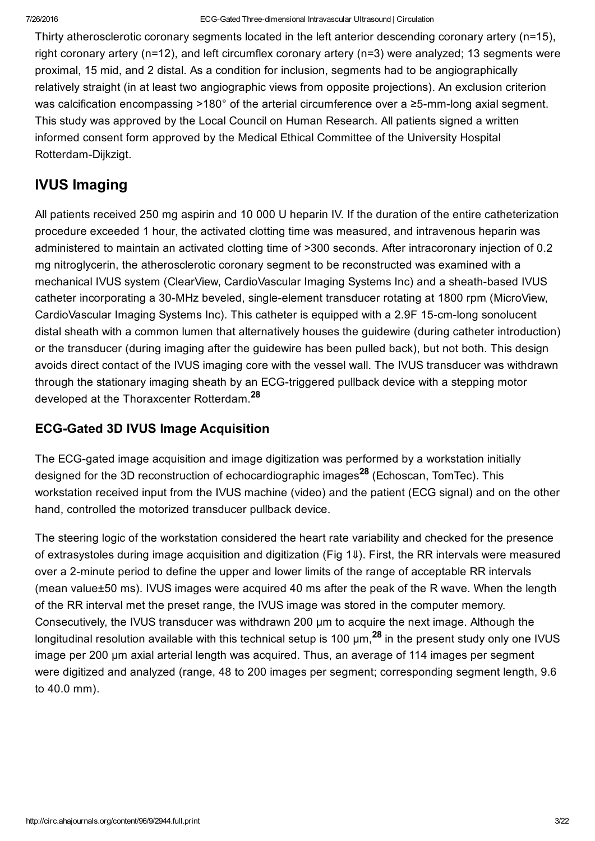Thirty atherosclerotic coronary segments located in the left anterior descending coronary artery (n=15), right coronary artery (n=12), and left circumflex coronary artery (n=3) were analyzed; 13 segments were proximal, 15 mid, and 2 distal. As a condition for inclusion, segments had to be angiographically relatively straight (in at least two angiographic views from opposite projections). An exclusion criterion was calcification encompassing >180 $^{\circ}$  of the arterial circumference over a  $\geq$ 5-mm-long axial segment. This study was approved by the Local Council on Human Research. All patients signed a written informed consent form approved by the Medical Ethical Committee of the University Hospital Rotterdam-Dijkzigt.

### IVUS Imaging

All patients received 250 mg aspirin and 10 000 U heparin IV. If the duration of the entire catheterization procedure exceeded 1 hour, the activated clotting time was measured, and intravenous heparin was administered to maintain an activated clotting time of >300 seconds. After intracoronary injection of 0.2 mg nitroglycerin, the atherosclerotic coronary segment to be reconstructed was examined with a mechanical IVUS system (ClearView, CardioVascular Imaging Systems Inc) and a sheath-based IVUS catheter incorporating a 30-MHz beveled, single-element transducer rotating at 1800 rpm (MicroView, CardioVascular Imaging Systems Inc). This catheter is equipped with a 2.9F 15-cm-long sonolucent distal sheath with a common lumen that alternatively houses the guidewire (during catheter introduction) or the transducer (during imaging after the guidewire has been pulled back), but not both. This design avoids direct contact of the IVUS imaging core with the vessel wall. The IVUS transducer was withdrawn through the stationary imaging sheath by an ECG-triggered pullback device with a stepping motor developed at the Thoraxcenter Rotterdam.<sup>28</sup>

### **ECG-Gated 3D IVUS Image Acquisition**

The ECG-gated image acquisition and image digitization was performed by a workstation initially designed for the 3D reconstruction of echocardiographic images<sup>28</sup> (Echoscan, TomTec). This workstation received input from the IVUS machine (video) and the patient (ECG signal) and on the other hand, controlled the motorized transducer pullback device.

The steering logic of the workstation considered the heart rate variability and checked for the presence of extrasystoles during image acquisition and digitization (Fig 1[⇓](#page-3-0)). First, the RR intervals were measured over a 2-minute period to define the upper and lower limits of the range of acceptable RR intervals (mean value±50 ms). IVUS images were acquired 40 ms after the peak of the R wave. When the length of the RR interval met the preset range, the IVUS image was stored in the computer memory. Consecutively, the IVUS transducer was withdrawn 200 μm to acquire the next image. Although the longitudinal resolution available with this technical setup is 100  $\mu$ m,  $^{28}$  in the present study only one IVUS image per 200 μm axial arterial length was acquired. Thus, an average of 114 images per segment were digitized and analyzed (range, 48 to 200 images per segment; corresponding segment length, 9.6 to 40.0 mm).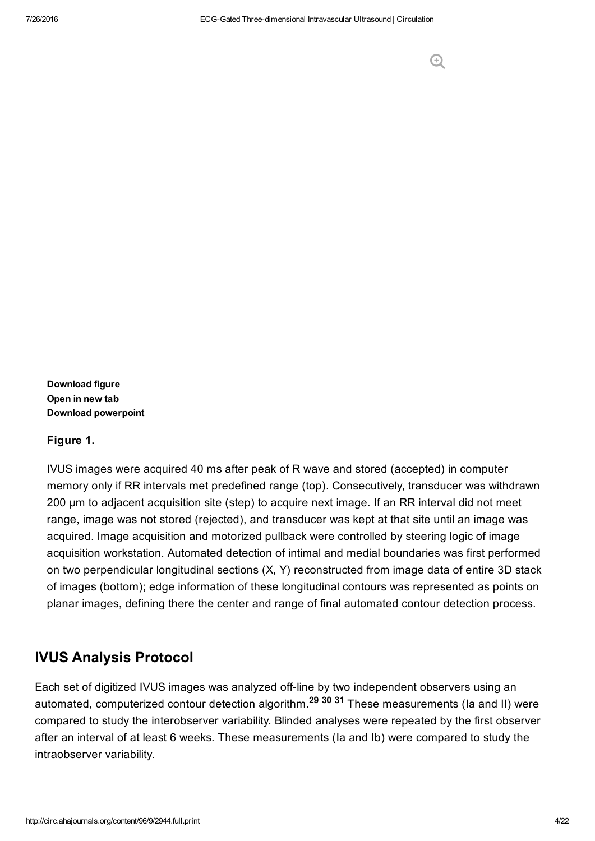#### <span id="page-3-0"></span>Figure 1.

IVUS images were acquired 40 ms after peak of R wave and stored (accepted) in computer memory only if RR intervals met predefined range (top). Consecutively, transducer was withdrawn 200 μm to adjacent acquisition site (step) to acquire next image. If an RR interval did not meet range, image was not stored (rejected), and transducer was kept at that site until an image was acquired. Image acquisition and motorized pullback were controlled by steering logic of image acquisition workstation. Automated detection of intimal and medial boundaries was first performed on two perpendicular longitudinal sections (X, Y) reconstructed from image data of entire 3D stack of images (bottom); edge information of these longitudinal contours was represented as points on planar images, defining there the center and range of final automated contour detection process.

### IVUS Analysis Protocol

Each set of digitized IVUS images was analyzed off-line by two independent observers using an automated, computerized contour detection algorithm.<sup>29 30</sup> <sup>31</sup> These measurements (la and II) were compared to study the interobserver variability. Blinded analyses were repeated by the first observer after an interval of at least 6 weeks. These measurements (Ia and Ib) were compared to study the intraobserver variability.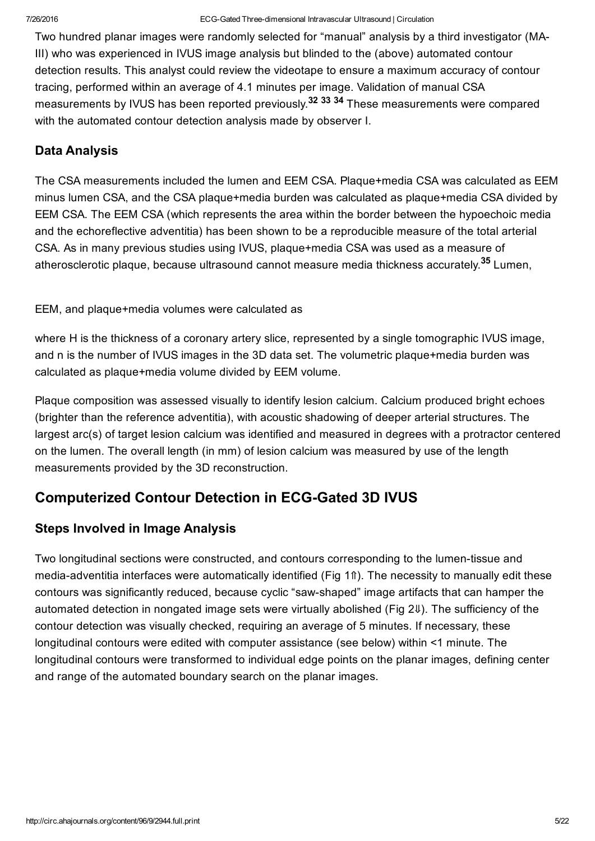Two hundred planar images were randomly selected for "manual" analysis by a third investigator (MA-III) who was experienced in IVUS image analysis but blinded to the (above) automated contour detection results. This analyst could review the videotape to ensure a maximum accuracy of contour tracing, performed within an average of 4.1 minutes per image. Validation of manual CSA measurements by IVUS has been reported previously.<sup>32</sup> <sup>33</sup> <sup>34</sup> These measurements were compared with the automated contour detection analysis made by observer I.

### Data Analysis

The CSA measurements included the lumen and EEM CSA. Plaque+media CSA was calculated as EEM minus lumen CSA, and the CSA plaque+media burden was calculated as plaque+media CSA divided by EEM CSA. The EEM CSA (which represents the area within the border between the hypoechoic media and the echoreflective adventitia) has been shown to be a reproducible measure of the total arterial CSA. As in many previous studies using IVUS, plaque+media CSA was used as a measure of atherosclerotic plaque, because ultrasound cannot measure media thickness accurately.<sup>35</sup> Lumen,

EEM, and plaque+media volumes were calculated as

where H is the thickness of a coronary artery slice, represented by a single tomographic IVUS image, and n is the number of IVUS images in the 3D data set. The volumetric plaque+media burden was calculated as plaque+media volume divided by EEM volume.

Plaque composition was assessed visually to identify lesion calcium. Calcium produced bright echoes (brighter than the reference adventitia), with acoustic shadowing of deeper arterial structures. The largest arc(s) of target lesion calcium was identified and measured in degrees with a protractor centered on the lumen. The overall length (in mm) of lesion calcium was measured by use of the length measurements provided by the 3D reconstruction.

### **Computerized Contour Detection in ECG-Gated 3D IVUS**

### Steps Involved in Image Analysis

Two longitudinal sections were constructed, and contours corresponding to the lumen-tissue and media-adventitia interfaces were automatically identified (Fig 1n). The necessity to manually edit these contours was significantly reduced, because cyclic "sawshaped" image artifacts that can hamper the automated detection in nongated image sets were virtually abolished (Fig 2[⇓](#page-5-0)). The sufficiency of the contour detection was visually checked, requiring an average of 5 minutes. If necessary, these longitudinal contours were edited with computer assistance (see below) within <1 minute. The longitudinal contours were transformed to individual edge points on the planar images, defining center and range of the automated boundary search on the planar images.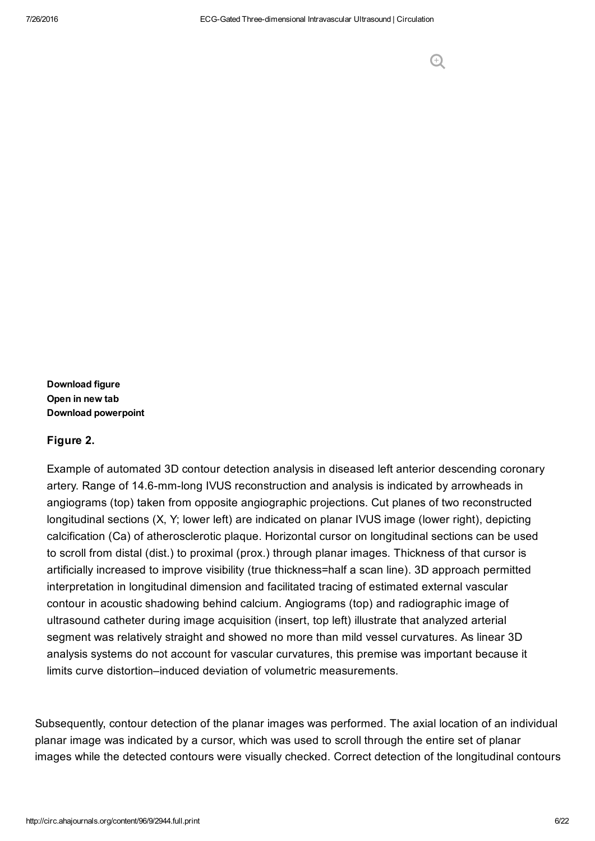#### <span id="page-5-0"></span>Figure 2.

Example of automated 3D contour detection analysis in diseased left anterior descending coronary artery. Range of 14.6-mm-long IVUS reconstruction and analysis is indicated by arrowheads in angiograms (top) taken from opposite angiographic projections. Cut planes of two reconstructed longitudinal sections (X, Y; lower left) are indicated on planar IVUS image (lower right), depicting calcification (Ca) of atherosclerotic plaque. Horizontal cursor on longitudinal sections can be used to scroll from distal (dist.) to proximal (prox.) through planar images. Thickness of that cursor is artificially increased to improve visibility (true thickness=half a scan line). 3D approach permitted interpretation in longitudinal dimension and facilitated tracing of estimated external vascular contour in acoustic shadowing behind calcium. Angiograms (top) and radiographic image of ultrasound catheter during image acquisition (insert, top left) illustrate that analyzed arterial segment was relatively straight and showed no more than mild vessel curvatures. As linear 3D analysis systems do not account for vascular curvatures, this premise was important because it limits curve distortion–induced deviation of volumetric measurements.

Subsequently, contour detection of the planar images was performed. The axial location of an individual planar image was indicated by a cursor, which was used to scroll through the entire set of planar images while the detected contours were visually checked. Correct detection of the longitudinal contours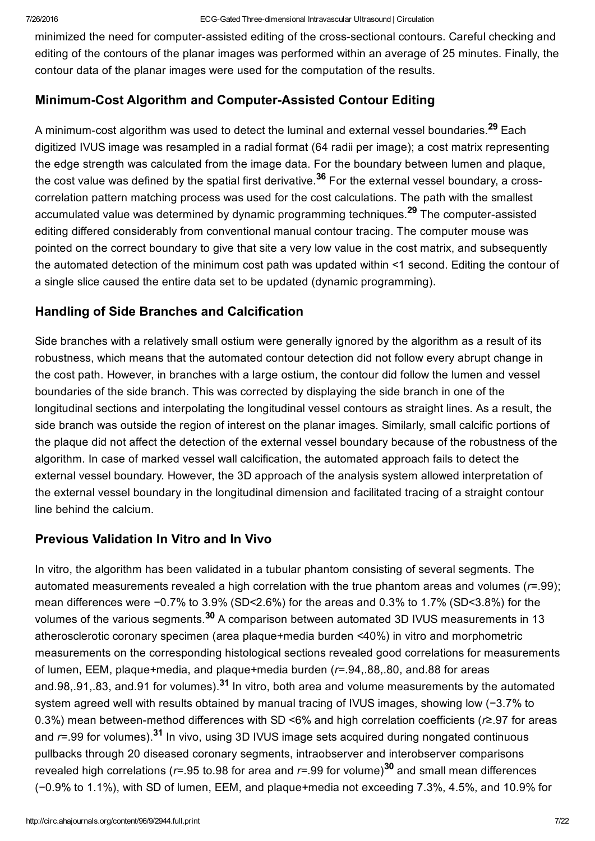minimized the need for computer-assisted editing of the cross-sectional contours. Careful checking and editing of the contours of the planar images was performed within an average of 25 minutes. Finally, the contour data of the planar images were used for the computation of the results.

### Minimum-Cost Algorithm and Computer-Assisted Contour Editing

A minimum-cost algorithm was used to detect the luminal and external vessel boundaries.<sup>29</sup> Each digitized IVUS image was resampled in a radial format (64 radii per image); a cost matrix representing the edge strength was calculated from the image data. For the boundary between lumen and plaque, the cost value was defined by the spatial first derivative.<sup>36</sup> For the external vessel boundary, a crosscorrelation pattern matching process was used for the cost calculations. The path with the smallest accumulated value was determined by dynamic programming techniques.<sup>29</sup> The computer-assisted editing differed considerably from conventional manual contour tracing. The computer mouse was pointed on the correct boundary to give that site a very low value in the cost matrix, and subsequently the automated detection of the minimum cost path was updated within <1 second. Editing the contour of a single slice caused the entire data set to be updated (dynamic programming).

### Handling of Side Branches and Calcification

Side branches with a relatively small ostium were generally ignored by the algorithm as a result of its robustness, which means that the automated contour detection did not follow every abrupt change in the cost path. However, in branches with a large ostium, the contour did follow the lumen and vessel boundaries of the side branch. This was corrected by displaying the side branch in one of the longitudinal sections and interpolating the longitudinal vessel contours as straight lines. As a result, the side branch was outside the region of interest on the planar images. Similarly, small calcific portions of the plaque did not affect the detection of the external vessel boundary because of the robustness of the algorithm. In case of marked vessel wall calcification, the automated approach fails to detect the external vessel boundary. However, the 3D approach of the analysis system allowed interpretation of the external vessel boundary in the longitudinal dimension and facilitated tracing of a straight contour line behind the calcium.

### Previous Validation In Vitro and In Vivo

In vitro, the algorithm has been validated in a tubular phantom consisting of several segments. The automated measurements revealed a high correlation with the true phantom areas and volumes (*r*=.99); mean differences were −0.7% to 3.9% (SD<2.6%) for the areas and 0.3% to 1.7% (SD<3.8%) for the volumes of the various segments.<sup>30</sup> A comparison between automated 3D IVUS measurements in 13 atherosclerotic coronary specimen (area plaque+media burden <40%) in vitro and morphometric measurements on the corresponding histological sections revealed good correlations for measurements of lumen, EEM, plaque+media, and plaque+media burden (*r*=.94,.88,.80, and.88 for areas and.98,.91,.83, and.91 for volumes). $31$  In vitro, both area and volume measurements by the automated system agreed well with results obtained by manual tracing of IVUS images, showing low (-3.7% to 0.3%) mean between-method differences with SD <6% and high correlation coefficients ( $r$ ≥.97 for areas and *r*=.99 for volumes).<sup>31</sup> In vivo, using 3D IVUS image sets acquired during nongated continuous pullbacks through 20 diseased coronary segments, intraobserver and interobserver comparisons revealed high correlations (*r*=.95 to.98 for area and *r*=.99 for volume)<sup>30</sup> and small mean differences (−0.9% to 1.1%), with SD of lumen, EEM, and plaque+media not exceeding 7.3%, 4.5%, and 10.9% for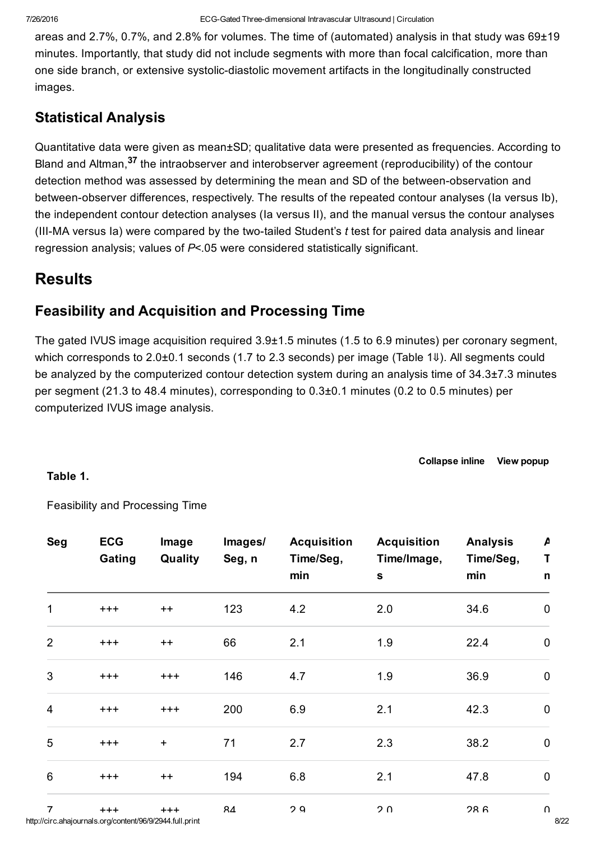areas and 2.7%, 0.7%, and 2.8% for volumes. The time of (automated) analysis in that study was 69±19 minutes. Importantly, that study did not include segments with more than focal calcification, more than one side branch, or extensive systolic-diastolic movement artifacts in the longitudinally constructed images.

### Statistical Analysis

Quantitative data were given as mean±SD; qualitative data were presented as frequencies. According to Bland and Altman,<sup>37</sup> the intraobserver and interobserver agreement (reproducibility) of the contour detection method was assessed by determining the mean and SD of the between-observation and between-observer differences, respectively. The results of the repeated contour analyses (Ia versus Ib), the independent contour detection analyses (Ia versus II), and the manual versus the contour analyses (III-MA versus Ia) were compared by the two-tailed Student's *t* test for paired data analysis and linear regression analysis; values of *P*<.05 were considered statistically significant.

### **Results**

### Feasibility and Acquisition and Processing Time

The gated IVUS image acquisition required 3.9±1.5 minutes (1.5 to 6.9 minutes) per coronary segment, which corresponds to 2.0±0.1 seconds (1.7 to 2.3 seconds) per image (Table 1↓). All segments could be analyzed by the computerized contour detection system during an analysis time of 34.3±7.3 minutes per segment (21.3 to 48.4 minutes), corresponding to 0.3±0.1 minutes (0.2 to 0.5 minutes) per computerized IVUS image analysis.

[Collapse](http://circ.ahajournals.org/) inline View [popup](http://circ.ahajournals.org/highwire/markup/188054/expansion?width=1000&height=500&iframe=true&postprocessors=highwire_figures%2Chighwire_math%2Chighwire_inline_linked_media%2Chighwire_embed)

#### <span id="page-7-0"></span>Table 1.

Feasibility and Processing Time

| <b>Seg</b>     | <b>ECG</b><br>Gating                                              | Image<br>Quality                 | Images/<br>Seg, n | <b>Acquisition</b><br>Time/Seg,<br>min | <b>Acquisition</b><br>Time/Image,<br>$\mathbf S$ | <b>Analysis</b><br>Time/Seg,<br>min | $\pmb{\mathsf{\mu}}$<br>T<br>n |
|----------------|-------------------------------------------------------------------|----------------------------------|-------------------|----------------------------------------|--------------------------------------------------|-------------------------------------|--------------------------------|
| $\mathbf{1}$   | $^{+++}$                                                          | $++$                             | 123               | 4.2                                    | 2.0                                              | 34.6                                | $\mathbf 0$                    |
| $\overline{2}$ | $^{+++}$                                                          | $++$                             | 66                | 2.1                                    | 1.9                                              | 22.4                                | $\mathbf 0$                    |
| $\mathfrak{S}$ | $^{+++}$                                                          | $+++$                            | 146               | 4.7                                    | 1.9                                              | 36.9                                | $\pmb{0}$                      |
| $\overline{4}$ | $^{+++}$                                                          | $^{+++}$                         | 200               | 6.9                                    | 2.1                                              | 42.3                                | $\mathbf 0$                    |
| $\overline{5}$ | $^{+++}$                                                          | $\begin{array}{c} + \end{array}$ | 71                | 2.7                                    | 2.3                                              | 38.2                                | $\pmb{0}$                      |
| $6\phantom{1}$ | $^{+++}$                                                          | $++$                             | 194               | 6.8                                    | 2.1                                              | 47.8                                | $\pmb{0}$                      |
| $\overline{7}$ | $+++$<br>http://circ.ahajournals.org/content/96/9/2944.full.print | $+++$                            | RΔ                | 2Q                                     | ን በ                                              | 28 <sub>6</sub>                     | $\boldsymbol{\cap}$            |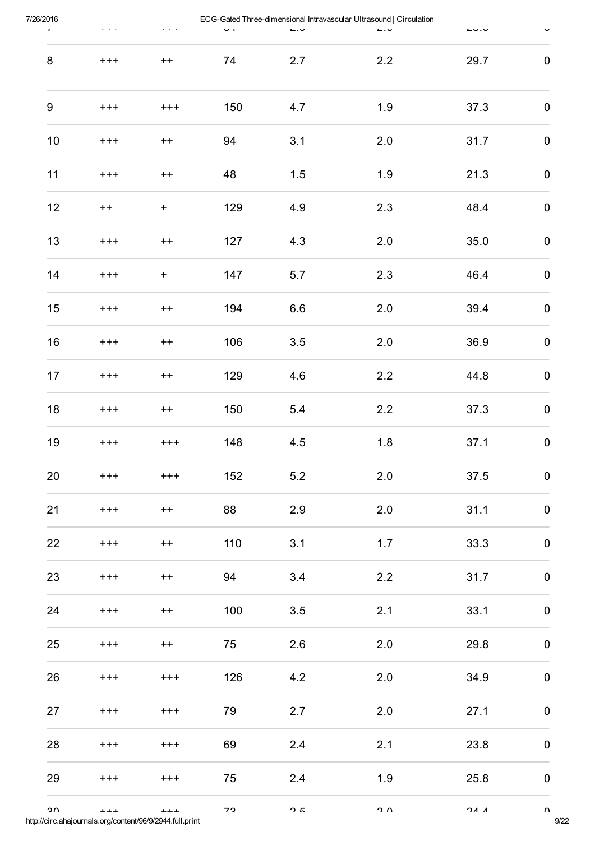| 7/26/2016<br>$\pmb{\mathsf{r}}$ | $\mathbf{r} \rightarrow \mathbf{r}$ | $\mathbf{r} \rightarrow \mathbf{r}$ | $\mathbf{u}$ | $\overline{a}$ | ECG-Gated Three-dimensional Intravascular Ultrasound   Circulation<br>$\sim$ | $\sim$              | $\checkmark$        |
|---------------------------------|-------------------------------------|-------------------------------------|--------------|----------------|------------------------------------------------------------------------------|---------------------|---------------------|
| $\bf 8$                         | $^{+++}$                            | $++$                                | 74           | 2.7            | 2.2                                                                          | 29.7                | $\pmb{0}$           |
| $\boldsymbol{9}$                | $^{+++}$                            | $^{+++}$                            | 150          | 4.7            | 1.9                                                                          | 37.3                | $\pmb{0}$           |
| $10$                            | $^{+++}$                            | $++$                                | 94           | 3.1            | 2.0                                                                          | 31.7                | $\pmb{0}$           |
| 11                              | $^{+++}$                            | $++$                                | 48           | 1.5            | 1.9                                                                          | 21.3                | 0                   |
| 12                              | $++$                                | $+$                                 | 129          | 4.9            | 2.3                                                                          | 48.4                | $\pmb{0}$           |
| 13                              | $^{+++}$                            | $+ +$                               | 127          | 4.3            | 2.0                                                                          | 35.0                | $\pmb{0}$           |
| 14                              | $^{+++}$                            | $+$                                 | 147          | 5.7            | 2.3                                                                          | 46.4                | $\pmb{0}$           |
| 15                              | $^{+++}$                            | $++$                                | 194          | 6.6            | 2.0                                                                          | 39.4                | $\pmb{0}$           |
| 16                              | $^{+++}$                            | $++$                                | 106          | 3.5            | 2.0                                                                          | 36.9                | $\pmb{0}$           |
| 17                              | $^{+++}$                            | $++$                                | 129          | 4.6            | 2.2                                                                          | 44.8                | $\pmb{0}$           |
| 18                              | $^{+++}$                            | $++$                                | 150          | 5.4            | 2.2                                                                          | 37.3                | $\pmb{0}$           |
| 19                              | $^{+++}$                            | $^{+++}$                            | 148          | 4.5            | 1.8                                                                          | 37.1                | $\pmb{0}$           |
| 20                              | $^{+++}$                            | $^{+++}$                            | 152          | 5.2            | 2.0                                                                          | 37.5                | $\pmb{0}$           |
| 21                              | $^{+++}$                            | $++$                                | 88           | 2.9            | 2.0                                                                          | 31.1                | $\pmb{0}$           |
| 22                              | $^{+++}$                            | $++$                                | 110          | 3.1            | 1.7                                                                          | 33.3                | $\pmb{0}$           |
| 23                              | $^{+++}$                            | $++$                                | 94           | 3.4            | $2.2$                                                                        | 31.7                | $\pmb{0}$           |
| 24                              | $+++$                               | $++$                                | 100          | 3.5            | 2.1                                                                          | 33.1                | $\pmb{0}$           |
| 25                              | $^{+++}$                            | $++$                                | 75           | 2.6            | 2.0                                                                          | 29.8                | $\pmb{0}$           |
| 26                              | $^{+++}$                            | $^{+++}$                            | 126          | $4.2\,$        | 2.0                                                                          | 34.9                | $\pmb{0}$           |
| 27                              | $^{+++}$                            | $^{+++}$                            | 79           | 2.7            | 2.0                                                                          | 27.1                | $\mathbf 0$         |
| 28                              | $^{+++}$                            | $+++$                               | 69           | 2.4            | 2.1                                                                          | 23.8                | $\pmb{0}$           |
| 29                              | $+++$                               | $+++$                               | 75           | 2.4            | 1.9                                                                          | 25.8                | $\pmb{0}$           |
| ٥U                              | ᆂᆂᆂ                                 | ᆂᆂᆂ                                 | フ2           | つに             | $\Omega$ מ                                                                   | $\Lambda$ $\Lambda$ | $\boldsymbol{\cap}$ |

http://circ.ahajournals.org/content/96/9/2944.full.print 9/22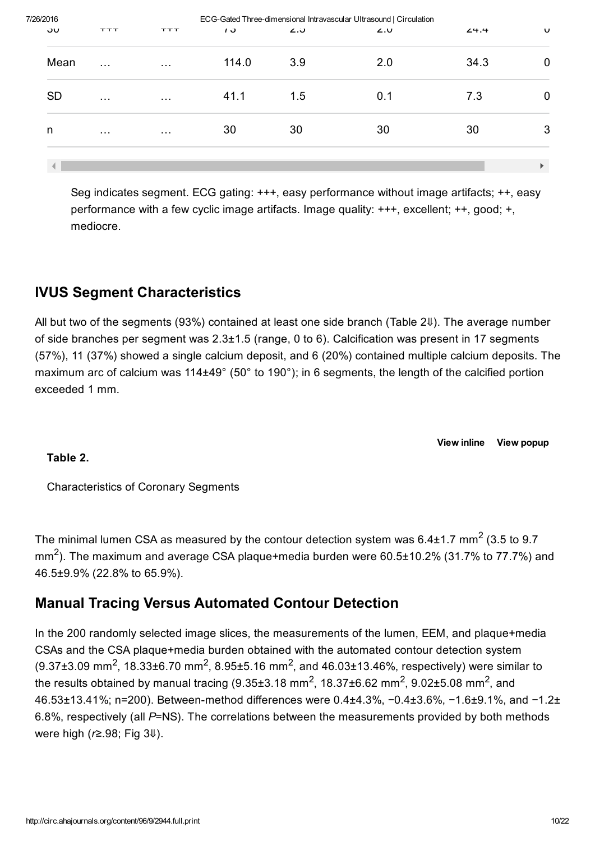| 7/26/2016 |                      |                      |                |     | ECG-Gated Three-dimensional Intravascular Ultrasound   Circulation |      |   |
|-----------|----------------------|----------------------|----------------|-----|--------------------------------------------------------------------|------|---|
| υσ        | <b>TTT</b>           | エエエ                  | $\overline{1}$ | ن.∠ | L.U                                                                | 24.4 | U |
| Mean      | $\sim$ $\sim$ $\sim$ | $\sim$ $\sim$ $\sim$ | 114.0          | 3.9 | 2.0                                                                | 34.3 | 0 |
| <b>SD</b> | $\sim$ $\sim$ $\sim$ | $\sim$ $\sim$ $\sim$ | 41.1           | 1.5 | 0.1                                                                | 7.3  |   |
| n         | $\sim$ $\sim$ $\sim$ | $\sim$ $\sim$ $\sim$ | 30             | 30  | 30                                                                 | 30   | 3 |
|           |                      |                      |                |     |                                                                    |      |   |

Seg indicates segment. ECG gating: +++, easy performance without image artifacts; ++, easy performance with a few cyclic image artifacts. Image quality: +++, excellent; ++, good; +, mediocre.

### IVUS Segment Characteristics

All but two of the segments (93%) contained at least one side branch (Table 2[⇓](#page-9-0)). The average number of side branches per segment was 2.3±1.5 (range, 0 to 6). Calcification was present in 17 segments (57%), 11 (37%) showed a single calcium deposit, and 6 (20%) contained multiple calcium deposits. The maximum arc of calcium was 114±49° (50° to 190°); in 6 segments, the length of the calcified portion exceeded 1 mm.

View [inline](http://circ.ahajournals.org/) View [popup](http://circ.ahajournals.org/highwire/markup/210271/expansion?width=1000&height=500&iframe=true&postprocessors=highwire_figures%2Chighwire_math%2Chighwire_inline_linked_media%2Chighwire_embed)

#### <span id="page-9-0"></span>Table 2.

Characteristics of Coronary Segments

The minimal lumen CSA as measured by the contour detection system was 6.4±1.7 mm<sup>2</sup> (3.5 to 9.7 mm<sup>2</sup>). The maximum and average CSA plaque+media burden were 60.5±10.2% (31.7% to 77.7%) and 46.5±9.9% (22.8% to 65.9%).

### Manual Tracing Versus Automated Contour Detection

In the 200 randomly selected image slices, the measurements of the lumen, EEM, and plaque+media CSAs and the CSA plaque+media burden obtained with the automated contour detection system  $(9.37\pm3.09$  mm<sup>2</sup>, 18.33 $\pm$ 6.70 mm<sup>2</sup>, 8.95 $\pm$ 5.16 mm<sup>2</sup>, and 46.03 $\pm$ 13.46%, respectively) were similar to the results obtained by manual tracing (9.35±3.18 mm<sup>2</sup>, 18.37±6.62 mm<sup>2</sup>, 9.02±5.08 mm<sup>2</sup>, and 46.53±13.41%; n=200). Between-method differences were 0.4±4.3%, -0.4±3.6%, -1.6±9.1%, and -1.2± 6.8%, respectively (all *P*=NS). The correlations between the measurements provided by both methods were high (*r*≥.98; Fig 3[⇓](#page-10-0)).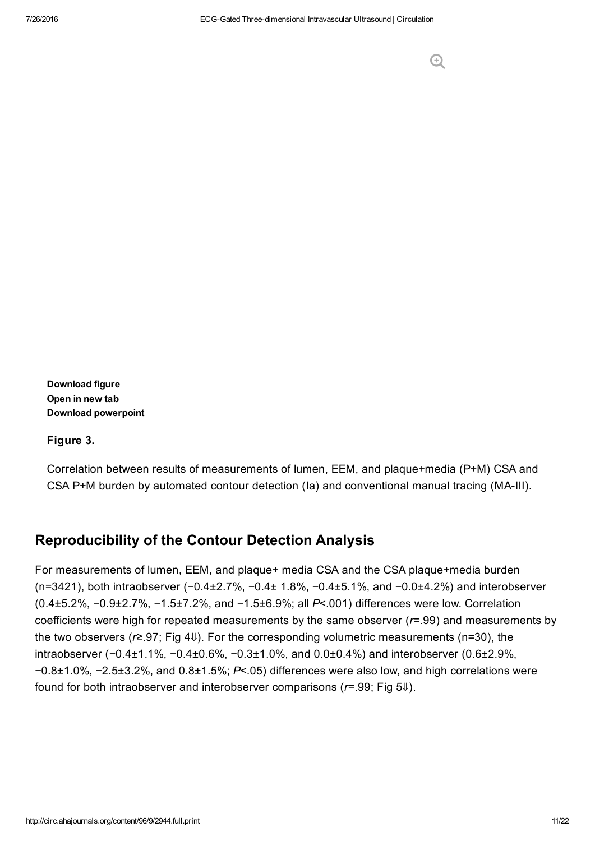<span id="page-10-0"></span>Figure 3.

Correlation between results of measurements of lumen, EEM, and plaque+media (P+M) CSA and CSA P+M burden by automated contour detection (Ia) and conventional manual tracing (MA-III).

### Reproducibility of the Contour Detection Analysis

For measurements of lumen, EEM, and plaque+ media CSA and the CSA plaque+media burden (n=3421), both intraobserver (−0.4±2.7%, −0.4± 1.8%, −0.4±5.1%, and −0.0±4.2%) and interobserver (0.4±5.2%, −0.9±2.7%, −1.5±7.2%, and −1.5±6.9%; all *P*<.001) differences were low. Correlation coefficients were high for repeated measurements by the same observer (*r*=.99) and measurements by the two observers (*r*≥.97; Fig 4[⇓](#page-11-0)). For the corresponding volumetric measurements (n=30), the intraobserver (−0.4±1.1%, −0.4±0.6%, −0.3±1.0%, and 0.0±0.4%) and interobserver (0.6±2.9%, −0.8±1.0%, −2.5±3.2%, and 0.8±1.5%; *P*<.05) differences were also low, and high correlations were found for both intraobserver and interobserver comparisons (*r*=.99; Fig 5[⇓](#page-12-0)).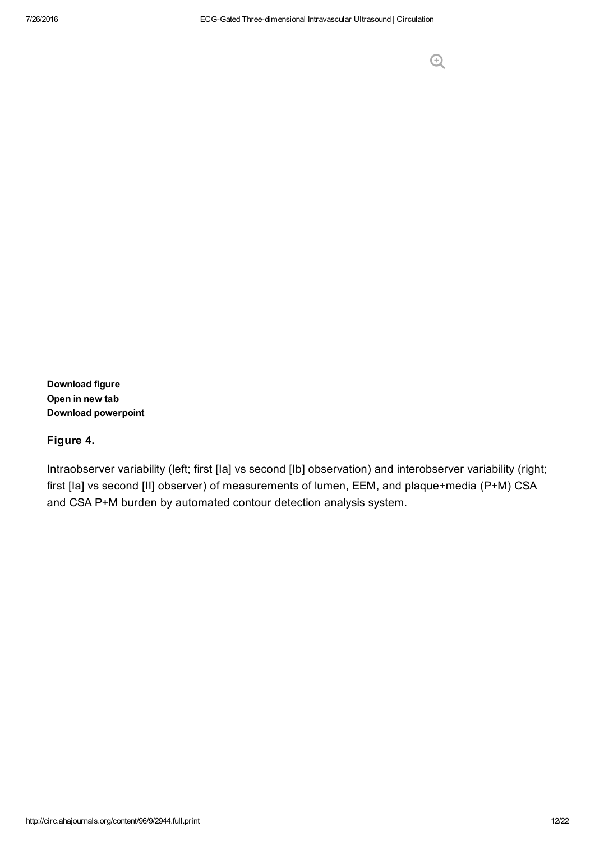#### <span id="page-11-0"></span>Figure 4.

Intraobserver variability (left; first [Ia] vs second [Ib] observation) and interobserver variability (right; first [Ia] vs second [II] observer) of measurements of lumen, EEM, and plaque+media (P+M) CSA and CSA P+M burden by automated contour detection analysis system.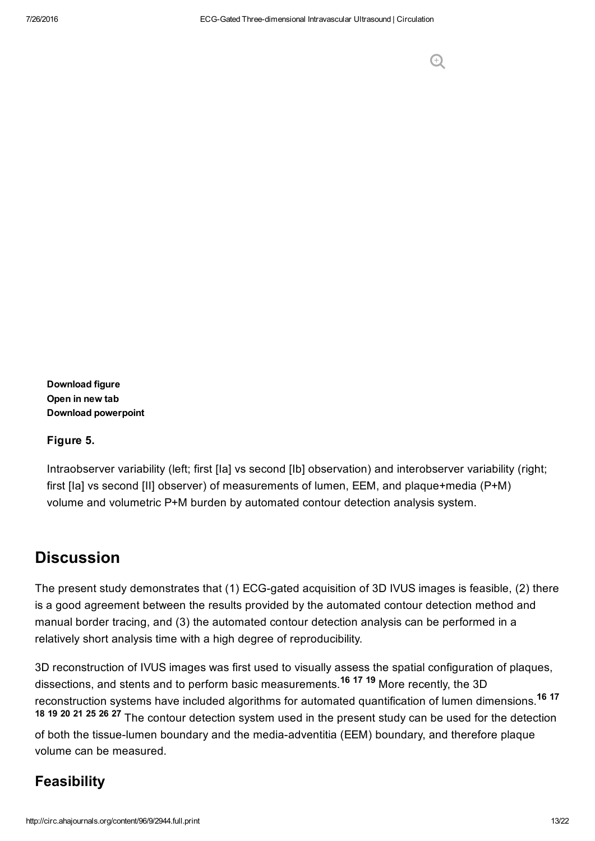#### <span id="page-12-0"></span>Figure 5.

Intraobserver variability (left; first [la] vs second [lb] observation) and interobserver variability (right; first [Ia] vs second [II] observer) of measurements of lumen, EEM, and plaque+media (P+M) volume and volumetric P+M burden by automated contour detection analysis system.

### **Discussion**

The present study demonstrates that (1) ECG-gated acquisition of 3D IVUS images is feasible, (2) there is a good agreement between the results provided by the automated contour detection method and manual border tracing, and (3) the automated contour detection analysis can be performed in a relatively short analysis time with a high degree of reproducibility.

3D reconstruction of IVUS images was first used to visually assess the spatial configuration of plaques, dissections, and stents and to perform basic measurements.<sup>16 17</sup> 19 More recently, the 3D reconstruction systems have included algorithms for automated quantification of lumen dimensions.<sup>16</sup> <sup>17</sup> 18 19 20 21 25 26 27 The contour detection system used in the present study can be used for the detection of both the tissue-lumen boundary and the media-adventitia (EEM) boundary, and therefore plaque volume can be measured.

### **Feasibility**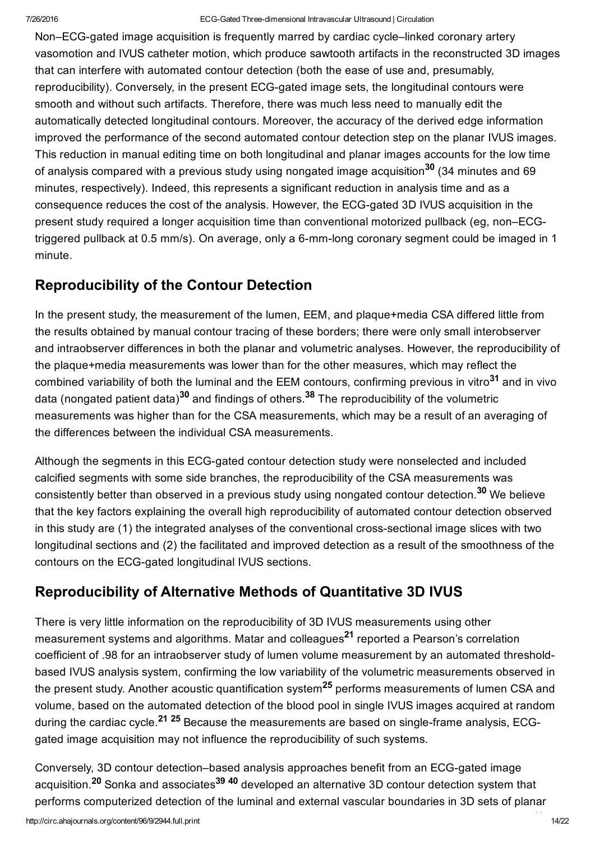Non–ECG-gated image acquisition is frequently marred by cardiac cycle–linked coronary artery vasomotion and IVUS catheter motion, which produce sawtooth artifacts in the reconstructed 3D images that can interfere with automated contour detection (both the ease of use and, presumably, reproducibility). Conversely, in the present ECG-gated image sets, the longitudinal contours were smooth and without such artifacts. Therefore, there was much less need to manually edit the automatically detected longitudinal contours. Moreover, the accuracy of the derived edge information improved the performance of the second automated contour detection step on the planar IVUS images. This reduction in manual editing time on both longitudinal and planar images accounts for the low time of analysis compared with a previous study using nongated image acquisition<sup>30</sup> (34 minutes and 69 minutes, respectively). Indeed, this represents a significant reduction in analysis time and as a consequence reduces the cost of the analysis. However, the ECG-gated 3D IVUS acquisition in the present study required a longer acquisition time than conventional motorized pullback (eg, non–ECGtriggered pullback at 0.5 mm/s). On average, only a 6-mm-long coronary segment could be imaged in 1 minute.

### Reproducibility of the Contour Detection

In the present study, the measurement of the lumen, EEM, and plaque+media CSA differed little from the results obtained by manual contour tracing of these borders; there were only small interobserver and intraobserver differences in both the planar and volumetric analyses. However, the reproducibility of the plaque+media measurements was lower than for the other measures, which may reflect the combined variability of both the luminal and the EEM contours, confirming previous in vitro<sup>31</sup> and in vivo data (nongated patient data)<sup>30</sup> and findings of others.<sup>38</sup> The reproducibility of the volumetric measurements was higher than for the CSA measurements, which may be a result of an averaging of the differences between the individual CSA measurements.

Although the segments in this ECG-gated contour detection study were nonselected and included calcified segments with some side branches, the reproducibility of the CSA measurements was consistently better than observed in a previous study using nongated contour detection.<sup>30</sup> We believe that the key factors explaining the overall high reproducibility of automated contour detection observed in this study are (1) the integrated analyses of the conventional cross-sectional image slices with two longitudinal sections and (2) the facilitated and improved detection as a result of the smoothness of the contours on the ECG-gated longitudinal IVUS sections.

### Reproducibility of Alternative Methods of Quantitative 3D IVUS

There is very little information on the reproducibility of 3D IVUS measurements using other measurement systems and algorithms. Matar and colleagues<sup>21</sup> reported a Pearson's correlation coefficient of .98 for an intraobserver study of lumen volume measurement by an automated thresholdbased IVUS analysis system, confirming the low variability of the volumetric measurements observed in the present study. Another acoustic quantification system<sup>25</sup> performs measurements of lumen CSA and volume, based on the automated detection of the blood pool in single IVUS images acquired at random during the cardiac cycle.<sup>21</sup> <sup>25</sup> Because the measurements are based on single-frame analysis, ECGgated image acquisition may not influence the reproducibility of such systems.

Conversely, 3D contour detection–based analysis approaches benefit from an ECG-gated image acquisition.<sup>20</sup> Sonka and associates<sup>39 40</sup> developed an alternative 3D contour detection system that performs computerized detection of the luminal and external vascular boundaries in 3D sets of planar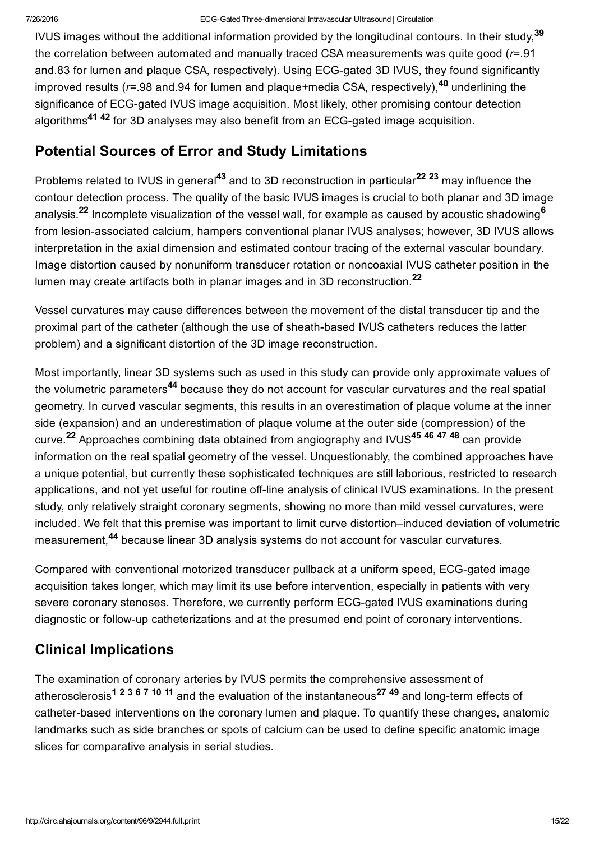IVUS images without the additional information provided by the longitudinal contours. In their study,<sup>39</sup> the correlation between automated and manually traced CSA measurements was quite good (*r*=.91 and.83 for lumen and plaque CSA, respectively). Using ECG-gated 3D IVUS, they found significantly improved results (*r*=.98 and.94 for lumen and plaque+media CSA, respectively),<sup>40</sup> underlining the significance of ECG-gated IVUS image acquisition. Most likely, other promising contour detection algorithms<sup>41 42</sup> for 3D analyses may also benefit from an ECG-gated image acquisition.

### Potential Sources of Error and Study Limitations

Problems related to IVUS in general<sup>43</sup> and to 3D reconstruction in particular<sup>22 23</sup> may influence the contour detection process. The quality of the basic IVUS images is crucial to both planar and 3D image analysis.<sup>22</sup> Incomplete visualization of the vessel wall, for example as caused by acoustic shadowing<sup>6</sup> from lesion-associated calcium, hampers conventional planar IVUS analyses; however, 3D IVUS allows interpretation in the axial dimension and estimated contour tracing of the external vascular boundary. Image distortion caused by nonuniform transducer rotation or noncoaxial IVUS catheter position in the lumen may create artifacts both in planar images and in 3D reconstruction.<sup>22</sup>

Vessel curvatures may cause differences between the movement of the distal transducer tip and the proximal part of the catheter (although the use of sheath-based IVUS catheters reduces the latter problem) and a significant distortion of the 3D image reconstruction.

Most importantly, linear 3D systems such as used in this study can provide only approximate values of the volumetric parameters<sup>44</sup> because they do not account for vascular curvatures and the real spatial geometry. In curved vascular segments, this results in an overestimation of plaque volume at the inner side (expansion) and an underestimation of plaque volume at the outer side (compression) of the curve.<sup>22</sup> Approaches combining data obtained from angiography and IVUS<sup>45 46 47 48</sup> can provide information on the real spatial geometry of the vessel. Unquestionably, the combined approaches have a unique potential, but currently these sophisticated techniques are still laborious, restricted to research applications, and not yet useful for routine off-line analysis of clinical IVUS examinations. In the present study, only relatively straight coronary segments, showing no more than mild vessel curvatures, were included. We felt that this premise was important to limit curve distortion–induced deviation of volumetric measurement,<sup>44</sup> because linear 3D analysis systems do not account for vascular curvatures.

Compared with conventional motorized transducer pullback at a uniform speed, ECG-gated image acquisition takes longer, which may limit its use before intervention, especially in patients with very severe coronary stenoses. Therefore, we currently perform ECG-gated IVUS examinations during diagnostic or follow-up catheterizations and at the presumed end point of coronary interventions.

### Clinical Implications

The examination of coronary arteries by IVUS permits the comprehensive assessment of atherosclerosis<sup>1 2 3 6 7 10 11</sup> and the evaluation of the instantaneous<sup>27 49</sup> and long-term effects of catheter-based interventions on the coronary lumen and plaque. To quantify these changes, anatomic landmarks such as side branches or spots of calcium can be used to define specific anatomic image slices for comparative analysis in serial studies.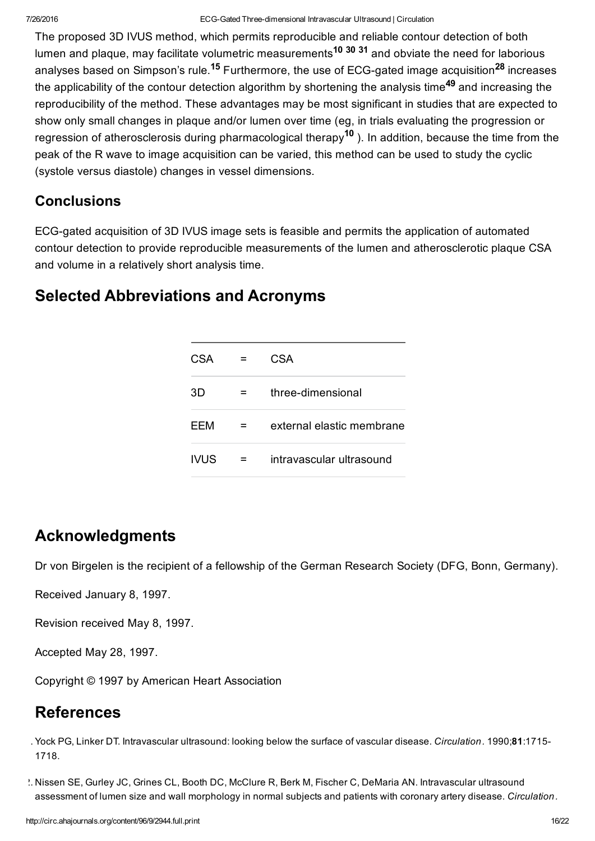The proposed 3D IVUS method, which permits reproducible and reliable contour detection of both lumen and plaque, may facilitate volumetric measurements<sup>10 30 31</sup> and obviate the need for laborious analyses based on Simpson's rule.<sup>15</sup> Furthermore, the use of ECG-gated image acquisition<sup>28</sup> increases the applicability of the contour detection algorithm by shortening the analysis time<sup>49</sup> and increasing the reproducibility of the method. These advantages may be most significant in studies that are expected to show only small changes in plaque and/or lumen over time (eg, in trials evaluating the progression or regression of atherosclerosis during pharmacological therapy<sup>10</sup> ). In addition, because the time from the peak of the R wave to image acquisition can be varied, this method can be used to study the cyclic (systole versus diastole) changes in vessel dimensions.

### **Conclusions**

ECG-gated acquisition of 3D IVUS image sets is feasible and permits the application of automated contour detection to provide reproducible measurements of the lumen and atherosclerotic plaque CSA and volume in a relatively short analysis time.

### Selected Abbreviations and Acronyms

| CSA  | CSA                       |
|------|---------------------------|
| 3D   | three-dimensional         |
| FFM  | external elastic membrane |
| IVUS | intravascular ultrasound  |

### Acknowledgments

Dr von Birgelen is the recipient of a fellowship of the German Research Society (DFG, Bonn, Germany).

Received January 8, 1997.

Revision received May 8, 1997.

Accepted May 28, 1997.

Copyright © 1997 by American Heart Association

## References

1. Yock PG, Linker DT. Intravascular ultrasound: looking below the surface of vascular disease. *Circulation.* 1990;81:1715 1718.

2. Nissen SE, Gurley JC, Grines CL, Booth DC, McClure R, Berk M, Fischer C, DeMaria AN. Intravascular ultrasound assessment of lumen size and wall morphology in normal subjects and patients with coronary artery disease. *Circulation.*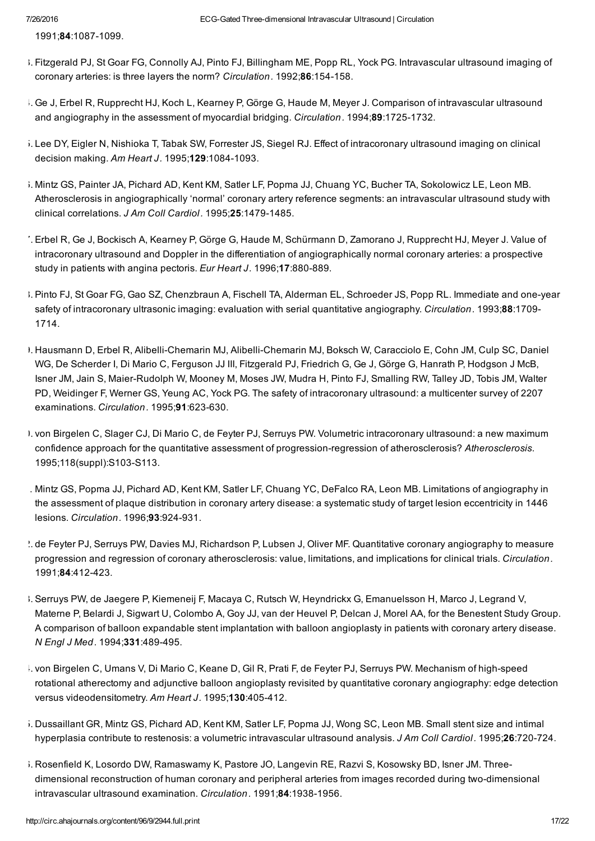1991;84:1087-1099.

- 3. Fitzgerald PJ, St Goar FG, Connolly AJ, Pinto FJ, Billingham ME, Popp RL, Yock PG. Intravascular ultrasound imaging of coronary arteries: is three layers the norm? *Circulation*. 1992;86:154-158.
- 4. Ge J, Erbel R, Rupprecht HJ, Koch L, Kearney P, Görge G, Haude M, Meyer J. Comparison of intravascular ultrasound and angiography in the assessment of myocardial bridging. *Circulation*. 1994;89:1725-1732.
- 5. Lee DY, Eigler N, Nishioka T, Tabak SW, Forrester JS, Siegel RJ. Effect of intracoronary ultrasound imaging on clinical decision making. Am Heart J. 1995;129:1084-1093.
- 6. Mintz GS, Painter JA, Pichard AD, Kent KM, Satler LF, Popma JJ, Chuang YC, Bucher TA, Sokolowicz LE, Leon MB. Atherosclerosis in angiographically 'normal' coronary artery reference segments: an intravascular ultrasound study with clinical correlations. *J Am Coll Cardiol.* 1995;25:1479-1485.
- 7. Erbel R, Ge J, Bockisch A, Kearney P, Görge G, Haude M, Schürmann D, Zamorano J, Rupprecht HJ, Meyer J. Value of intracoronary ultrasound and Doppler in the differentiation of angiographically normal coronary arteries: a prospective study in patients with angina pectoris. *Eur Heart J.* 1996;17:880-889.
- 8. Pinto FJ, St Goar FG, Gao SZ, Chenzbraun A, Fischell TA, Alderman EL, Schroeder JS, Popp RL. Immediate and one-year safety of intracoronary ultrasonic imaging: evaluation with serial quantitative angiography. *Circulation.* 1993;88:1709 1714.
- 9. Hausmann D, Erbel R, Alibelli-Chemarin MJ, Alibelli-Chemarin MJ, Boksch W, Caracciolo E, Cohn JM, Culp SC, Daniel WG, De Scherder I, Di Mario C, Ferguson JJ III, Fitzgerald PJ, Friedrich G, Ge J, Görge G, Hanrath P, Hodgson J McB, Isner JM, Jain S, Maier-Rudolph W, Mooney M, Moses JW, Mudra H, Pinto FJ, Smalling RW, Talley JD, Tobis JM, Walter PD, Weidinger F, Werner GS, Yeung AC, Yock PG. The safety of intracoronary ultrasound: a multicenter survey of 2207 examinations. *Circulation*. 1995;91:623-630.
- 10. von Birgelen C, Slager CJ, Di Mario C, de Feyter PJ, Serruys PW. Volumetric intracoronary ultrasound: a new maximum confidence approach for the quantitative assessment of progression-regression of atherosclerosis? Atherosclerosis. 1995;118(suppl):S103-S113.
- 11. Mintz GS, Popma JJ, Pichard AD, Kent KM, Satler LF, Chuang YC, DeFalco RA, Leon MB. Limitations of angiography in the assessment of plaque distribution in coronary artery disease: a systematic study of target lesion eccentricity in 1446 lesions. *Circulation*. 1996;93:924-931.
- 12. de Feyter PJ, Serruys PW, Davies MJ, Richardson P, Lubsen J, Oliver MF. Quantitative coronary angiography to measure progression and regression of coronary atherosclerosis: value, limitations, and implications for clinical trials. *Circulation.* 1991;84:412-423.
- 13. Serruys PW, de Jaegere P, Kiemeneij F, Macaya C, Rutsch W, Heyndrickx G, Emanuelsson H, Marco J, Legrand V, Materne P, Belardi J, Sigwart U, Colombo A, Goy JJ, van der Heuvel P, Delcan J, Morel AA, for the Benestent Study Group. A comparison of balloon expandable stent implantation with balloon angioplasty in patients with coronary artery disease. *N Engl J Med.* 1994;331:489495.
- 1. von Birgelen C, Umans V, Di Mario C, Keane D, Gil R, Prati F, de Feyter PJ, Serruys PW. Mechanism of high-speed rotational atherectomy and adjunctive balloon angioplasty revisited by quantitative coronary angiography: edge detection versus videodensitometry. Am Heart J. 1995;130:405-412.
- 15. Dussaillant GR, Mintz GS, Pichard AD, Kent KM, Satler LF, Popma JJ, Wong SC, Leon MB. Small stent size and intimal hyperplasia contribute to restenosis: a volumetric intravascular ultrasound analysis. *J Am Coll Cardiol.* 1995;26:720724.
- 1. Rosenfield K, Losordo DW, Ramaswamy K, Pastore JO, Langevin RE, Razvi S, Kosowsky BD, Isner JM. Threedimensional reconstruction of human coronary and peripheral arteries from images recorded during two-dimensional intravascular ultrasound examination. *Circulation.* 1991;84:1938-1956.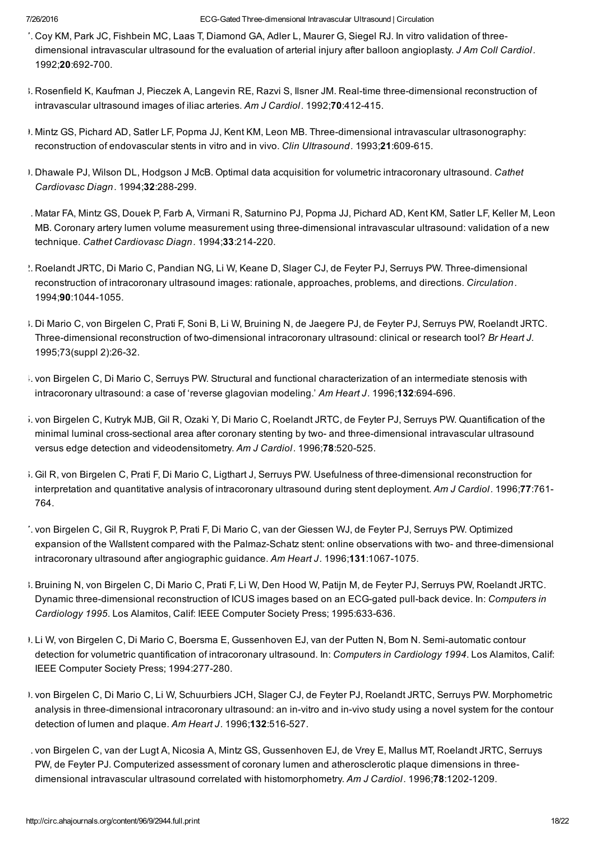#### 7/26/2016 ECGGated Threedimensional Intravascular Ultrasound | Circulation

- 17. Coy KM, Park JC, Fishbein MC, Laas T, Diamond GA, Adler L, Maurer G, Siegel RJ. In vitro validation of threedimensional intravascular ultrasound for the evaluation of arterial injury after balloon angioplasty. *J Am Coll Cardiol.* 1992:20:692-700.
- 1. Rosenfield K, Kaufman J, Pieczek A, Langevin RE, Razvi S, Ilsner JM. Real-time three-dimensional reconstruction of intravascular ultrasound images of iliac arteries. Am J Cardiol. 1992;70:412-415.
- 1. Mintz GS, Pichard AD, Satler LF, Popma JJ, Kent KM, Leon MB. Three-dimensional intravascular ultrasonography: reconstruction of endovascular stents in vitro and in vivo. *Clin Ultrasound.* 1993;21:609-615.
- 20. Dhawale PJ, Wilson DL, Hodgson J McB. Optimal data acquisition for volumetric intracoronary ultrasound. *Cathet Cardiovasc Diagn.* 1994; 32: 288-299.
- 21. Matar FA, Mintz GS, Douek P, Farb A, Virmani R, Saturnino PJ, Popma JJ, Pichard AD, Kent KM, Satler LF, Keller M, Leon MB. Coronary artery lumen volume measurement using three-dimensional intravascular ultrasound: validation of a new technique. Cathet Cardiovasc Diagn. 1994;33:214-220.
- $2.2$  Roelandt JRTC, Di Mario C, Pandian NG, Li W, Keane D, Slager CJ, de Feyter PJ, Serruys PW. Three-dimensional reconstruction of intracoronary ultrasound images: rationale, approaches, problems, and directions. *Circulation.* 1994;90:1044-1055.
- 23. Di Mario C, von Birgelen C, Prati F, Soni B, Li W, Bruining N, de Jaegere PJ, de Feyter PJ, Serruys PW, Roelandt JRTC. Three-dimensional reconstruction of two-dimensional intracoronary ultrasound: clinical or research tool? *Br Heart J.* 1995;73(suppl 2):26-32.
- 24. von Birgelen C, Di Mario C, Serruys PW. Structural and functional characterization of an intermediate stenosis with intracoronary ultrasound: a case of 'reverse glagovian modeling.' Am Heart J. 1996;132:694-696.
- 25. von Birgelen C, Kutryk MJB, Gil R, Ozaki Y, Di Mario C, Roelandt JRTC, de Feyter PJ, Serruys PW. Quantification of the minimal luminal cross-sectional area after coronary stenting by two- and three-dimensional intravascular ultrasound versus edge detection and videodensitometry. Am J Cardiol. 1996;78:520-525.
- 6. Gil R, von Birgelen C, Prati F, Di Mario C, Ligthart J, Serruys PW. Usefulness of three-dimensional reconstruction for interpretation and quantitative analysis of intracoronary ultrasound during stent deployment. *Am J Cardiol.* 1996;77:761 764.
- 27. von Birgelen C, Gil R, Ruygrok P, Prati F, Di Mario C, van der Giessen WJ, de Feyter PJ, Serruys PW. Optimized expansion of the Wallstent compared with the Palmaz-Schatz stent: online observations with two- and three-dimensional intracoronary ultrasound after angiographic guidance. Am Heart J. 1996;131:1067-1075.
- 28. Bruining N, von Birgelen C, Di Mario C, Prati F, Li W, Den Hood W, Patijn M, de Feyter PJ, Serruys PW, Roelandt JRTC. Dynamic three-dimensional reconstruction of ICUS images based on an ECG-gated pull-back device. In: *Computers in* Cardiology 1995. Los Alamitos, Calif: IEEE Computer Society Press; 1995:633-636.
- 9. Li W, von Birgelen C, Di Mario C, Boersma E, Gussenhoven EJ, van der Putten N, Bom N. Semi-automatic contour detection for volumetric quantification of intracoronary ultrasound. In: *Computers in Cardiology 1994*. Los Alamitos, Calif: IEEE Computer Society Press; 1994:277-280.
- 30. von Birgelen C, Di Mario C, Li W, Schuurbiers JCH, Slager CJ, de Feyter PJ, Roelandt JRTC, Serruys PW. Morphometric analysis in three-dimensional intracoronary ultrasound: an in-vitro and in-vivo study using a novel system for the contour detection of lumen and plaque. Am Heart J. 1996;132:516-527.
- 31. von Birgelen C, van der Lugt A, Nicosia A, Mintz GS, Gussenhoven EJ, de Vrey E, Mallus MT, Roelandt JRTC, Serruys PW, de Feyter PJ. Computerized assessment of coronary lumen and atherosclerotic plaque dimensions in threedimensional intravascular ultrasound correlated with histomorphometry. Am *J Cardiol.* 1996;78:1202-1209.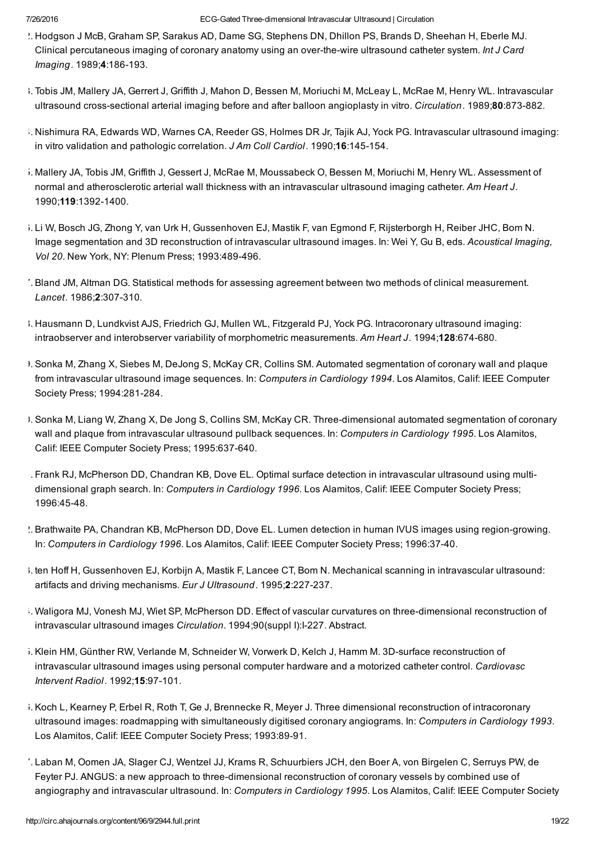- 32. Hodgson J McB, Graham SP, Sarakus AD, Dame SG, Stephens DN, Dhillon PS, Brands D, Sheehan H, Eberle MJ. Clinical percutaneous imaging of coronary anatomy using an over-the-wire ultrasound catheter system. *Int J Card Imaging.* 1989;4:186-193.
- 3. Tobis JM, Mallery JA, Gerrert J, Griffith J, Mahon D, Bessen M, Moriuchi M, McLeay L, McRae M, Henry WL. Intravascular ultrasound cross-sectional arterial imaging before and after balloon angioplasty in vitro. *Circulation*. 1989;80:873-882.
- 34. Nishimura RA, Edwards WD, Warnes CA, Reeder GS, Holmes DR Jr, Tajik AJ, Yock PG. Intravascular ultrasound imaging: in vitro validation and pathologic correlation. *J Am Coll Cardiol.* 1990;16:145-154.
- 35. Mallery JA, Tobis JM, Griffith J, Gessert J, McRae M, Moussabeck O, Bessen M, Moriuchi M, Henry WL. Assessment of normal and atherosclerotic arterial wall thickness with an intravascular ultrasound imaging catheter. *Am Heart J.* 1990;119:1392-1400.
- 36. Li W, Bosch JG, Zhong Y, van Urk H, Gussenhoven EJ, Mastik F, van Egmond F, Rijsterborgh H, Reiber JHC, Bom N. Image segmentation and 3D reconstruction of intravascular ultrasound images. In: Wei Y, Gu B, eds. *Acoustical Imaging, Vol 20*. New York, NY: Plenum Press; 1993:489496.
- 37. Bland JM, Altman DG. Statistical methods for assessing agreement between two methods of clinical measurement. Lancet. 1986;2:307-310.
- 38. Hausmann D, Lundkvist AJS, Friedrich GJ, Mullen WL, Fitzgerald PJ, Yock PG. Intracoronary ultrasound imaging: intraobserver and interobserver variability of morphometric measurements. *Am Heart J.* 1994;128:674680.
- 39. Sonka M, Zhang X, Siebes M, DeJong S, McKay CR, Collins SM. Automated segmentation of coronary wall and plaque from intravascular ultrasound image sequences. In: *Computers in Cardiology 1994*. Los Alamitos, Calif: IEEE Computer Society Press; 1994:281-284.
- 40. Sonka M, Liang W, Zhang X, De Jong S, Collins SM, McKay CR. Threedimensional automated segmentation of coronary wall and plaque from intravascular ultrasound pullback sequences. In: *Computers in Cardiology 1995*. Los Alamitos, Calif: IEEE Computer Society Press; 1995:637-640.
- 41. Frank RJ, McPherson DD, Chandran KB, Dove EL. Optimal surface detection in intravascular ultrasound using multidimensional graph search. In: *Computers in Cardiology 1996*. Los Alamitos, Calif: IEEE Computer Society Press; 1996:4548.
- $\Delta$ . Brathwaite PA, Chandran KB, McPherson DD, Dove EL. Lumen detection in human IVUS images using region-growing. In: *Computers in Cardiology 1996*. Los Alamitos, Calif: IEEE Computer Society Press; 1996:3740.
- 43. ten Hoff H, Gussenhoven EJ, Korbijn A, Mastik F, Lancee CT, Bom N. Mechanical scanning in intravascular ultrasound: artifacts and driving mechanisms. *Eur J Ultrasound.* 1995;2:227-237.
- 4. Waligora MJ, Vonesh MJ, Wiet SP, McPherson DD. Effect of vascular curvatures on three-dimensional reconstruction of intravascular ultrasound images *Circulation*. 1994;90(suppl I):I-227. Abstract.
- 5. Klein HM, Günther RW, Verlande M, Schneider W, Vorwerk D, Kelch J, Hamm M. 3D-surface reconstruction of intravascular ultrasound images using personal computer hardware and a motorized catheter control. *Cardiovasc Intervent Radiol.* 1992; **15**:97-101.
- 6. Koch L, Kearney P, Erbel R, Roth T, Ge J, Brennecke R, Meyer J. Three dimensional reconstruction of intracoronary ultrasound images: roadmapping with simultaneously digitised coronary angiograms. In: *Computers in Cardiology 1993*. Los Alamitos, Calif: IEEE Computer Society Press; 1993:89-91.
- 47. Laban M, Oomen JA, Slager CJ, Wentzel JJ, Krams R, Schuurbiers JCH, den Boer A, von Birgelen C, Serruys PW, de Feyter PJ. ANGUS: a new approach to three-dimensional reconstruction of coronary vessels by combined use of angiography and intravascular ultrasound. In: *Computers in Cardiology 1995*. Los Alamitos, Calif: IEEE Computer Society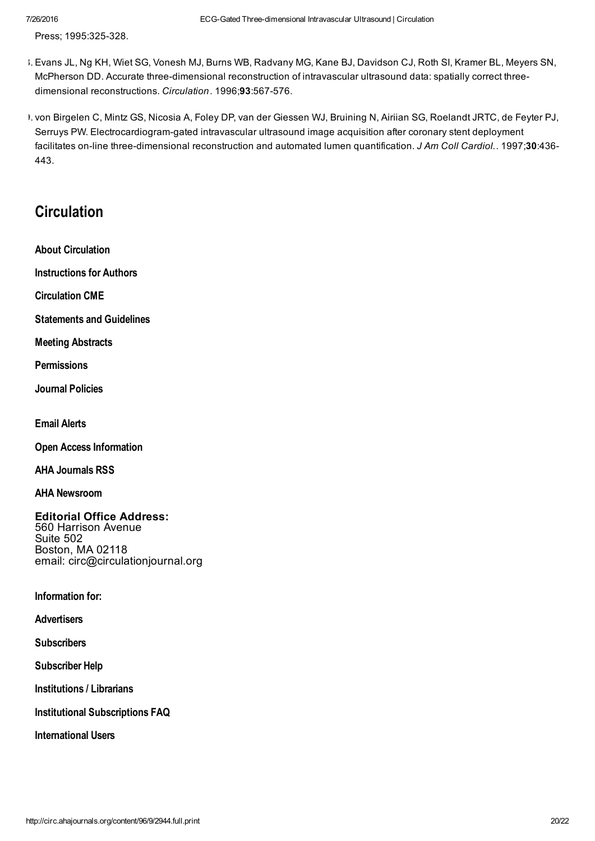Press; 1995:325-328.

- 48. Evans JL, Ng KH, Wiet SG, Vonesh MJ, Burns WB, Radvany MG, Kane BJ, Davidson CJ, Roth SI, Kramer BL, Meyers SN, McPherson DD. Accurate three-dimensional reconstruction of intravascular ultrasound data: spatially correct threedimensional reconstructions. *Circulation*. 1996:93:567-576.
- 49. von Birgelen C, Mintz GS, Nicosia A, Foley DP, van der Giessen WJ, Bruining N, Airiian SG, Roelandt JRTC, de Feyter PJ, Serruys PW. Electrocardiogram-gated intravascular ultrasound image acquisition after coronary stent deployment facilitates on-line three-dimensional reconstruction and automated lumen quantification. *J Am Coll Cardiol.*. 1997;30:436-443.

### **Circulation**

About [Circulation](http://circ.ahajournals.org/content/about-circulation)

[Instructions](http://circ.ahajournals.org/content/author-instructions) for Authors

[Circulation](http://circ.ahajournals.org/content/cme) CME

[Statements](http://professional.heart.org/professional/GuidelinesStatements/UCM_316885_Guidelines-Statements.jsp) and Guidelines

Meeting [Abstracts](http://circ.ahajournals.org/content/supplements)

**[Permissions](http://circ.ahajournals.org/content/permissions-rights-q-and-a)** 

Journal [Policies](http://circ.ahajournals.org/content/journal-policies)

Email [Alerts](http://circ.ahajournals.org/help/email-alert-change-email)

Open Access [Information](http://www.ahajournals.org/site/openaccess/)

AHA [Journals](http://www.ahajournals.org/rss/) RSS

AHA [Newsroom](http://newsroom.heart.org/)

Editorial Office Address: 560 Harrison Avenue Suite 502 Boston, MA 02118 email: circ@circulationjournal.org

Information for:

**[Advertisers](http://www.wkadcenter.com/mediakit/circulation)** 

**[Subscribers](http://circ.ahajournals.org/custserv/subscribe)** 

[Subscriber](http://circ.ahajournals.org/custserv/help) Help

[Institutions](http://circ.ahajournals.org/custserv/InstitutionalFAQ) / Librarians

Institutional [Subscriptions](http://circ.ahajournals.org/custserv/InstitutionalFAQ) FAQ

[International](http://circ.ahajournals.org/content/international-users) Users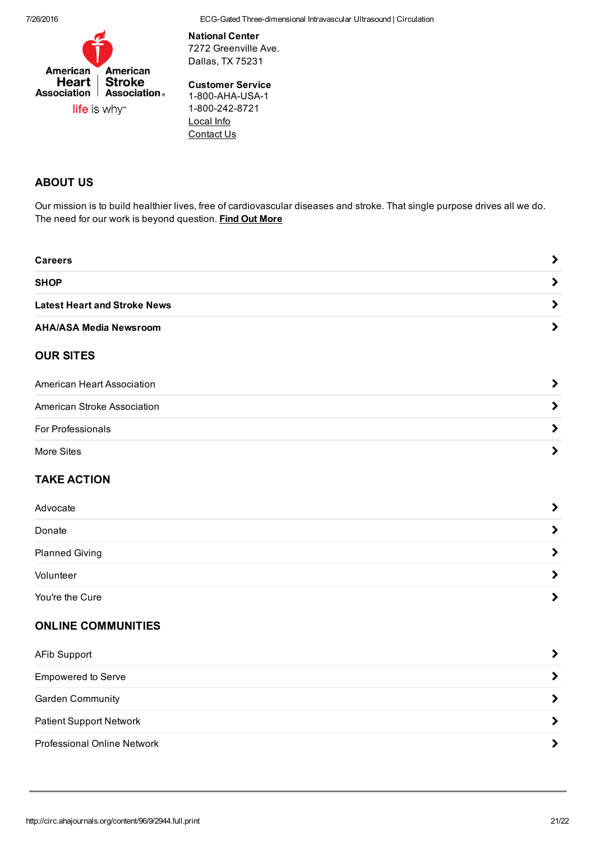7/26/2016 ECGGated Threedimensional Intravascular Ultrasound | Circulation



National Center 7272 Greenville Ave. Dallas, TX 75231

#### Customer Service

1-800-AHA-USA-1 1-800-242-8721 [Local](http://www.heart.org/HEARTORG/localization/chooseState.jsp) Info [Contact](http://www.heart.org/HEARTORG/General/Contact-Us_UCM_308813_Article.jsp#.V0iRafkrJpg) Us

#### ABOUT US

Our mission is to build healthier lives, free of cardiovascular diseases and stroke. That single purpose drives all we do. The need for our work is beyond question. Find Out [More](http://www.heart.org/HEARTORG/General/About-Us---American-Heart-Association_UCM_305422_SubHomePage.jsp)

| <b>Careers</b>                      |  |
|-------------------------------------|--|
| <b>SHOP</b>                         |  |
| <b>Latest Heart and Stroke News</b> |  |
| <b>AHA/ASA Media Newsroom</b>       |  |

#### OUR SITES

| American Heart Association  |  |
|-----------------------------|--|
| American Stroke Association |  |
| For Professionals           |  |
| More Sites                  |  |

#### TAKE ACTION

| Advocate              |  |
|-----------------------|--|
| Donate                |  |
| <b>Planned Giving</b> |  |
| Volunteer             |  |
| You're the Cure       |  |

#### ONLINE COMMUNITIES

| <b>AFib Support</b>            |  |
|--------------------------------|--|
| <b>Empowered to Serve</b>      |  |
| <b>Garden Community</b>        |  |
| <b>Patient Support Network</b> |  |
| Professional Online Network    |  |